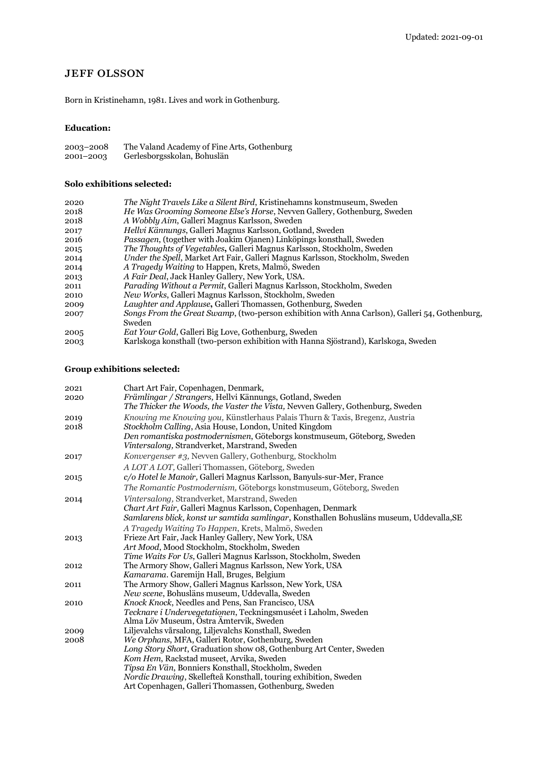## **JEFF OLSSON**

Born in Kristinehamn, 1981. Lives and work in Gothenburg.

## **Education:**

| 2003-2008 | The Valand Academy of Fine Arts, Gothenburg |
|-----------|---------------------------------------------|
| 2001-2003 | Gerlesborgsskolan, Bohuslän                 |

## **Solo exhibitions selected:**

| 2020 | The Night Travels Like a Silent Bird, Kristinehamns konstmuseum, Sweden                        |
|------|------------------------------------------------------------------------------------------------|
| 2018 | <i>He Was Grooming Someone Else's Horse, Nevven Gallery, Gothenburg, Sweden</i>                |
| 2018 | A Wobbly Aim, Galleri Magnus Karlsson, Sweden                                                  |
| 2017 | <i>Hellvi Kännungs, Galleri Magnus Karlsson, Gotland, Sweden</i>                               |
| 2016 | Passagen, (together with Joakim Ojanen) Linköpings konsthall, Sweden                           |
| 2015 | The Thoughts of Vegetables, Galleri Magnus Karlsson, Stockholm, Sweden                         |
| 2014 | Under the Spell, Market Art Fair, Galleri Magnus Karlsson, Stockholm, Sweden                   |
| 2014 | A Tragedy Waiting to Happen, Krets, Malmö, Sweden                                              |
| 2013 | A Fair Deal, Jack Hanley Gallery, New York, USA.                                               |
| 2011 | Parading Without a Permit, Galleri Magnus Karlsson, Stockholm, Sweden                          |
| 2010 | <i>New Works</i> , Galleri Magnus Karlsson, Stockholm, Sweden                                  |
| 2009 | Laughter and Applause, Galleri Thomassen, Gothenburg, Sweden                                   |
| 2007 | Songs From the Great Swamp, (two-person exhibition with Anna Carlson), Galleri 54, Gothenburg, |
|      | Sweden                                                                                         |
| 2005 | <i>Eat Your Gold, Galleri Big Love, Gothenburg, Sweden</i>                                     |
| 2003 | Karlskoga konsthall (two-person exhibition with Hanna Sjöstrand), Karlskoga, Sweden            |
|      |                                                                                                |

## **Group exhibitions selected:**

| 2021 | Chart Art Fair, Copenhagen, Denmark,                                                     |
|------|------------------------------------------------------------------------------------------|
| 2020 | Främlingar / Strangers, Hellvi Kännungs, Gotland, Sweden                                 |
|      | The Thicker the Woods, the Vaster the Vista, Nevven Gallery, Gothenburg, Sweden          |
| 2019 | Knowing me Knowing you, Künstlerhaus Palais Thurn & Taxis, Bregenz, Austria              |
| 2018 | Stockholm Calling, Asia House, London, United Kingdom                                    |
|      | Den romantiska postmodernismen, Göteborgs konstmuseum, Göteborg, Sweden                  |
|      | Vintersalong, Strandverket, Marstrand, Sweden                                            |
| 2017 | Konvergenser #3, Nevven Gallery, Gothenburg, Stockholm                                   |
|      | A LOT A LOT, Galleri Thomassen, Göteborg, Sweden                                         |
| 2015 | c/o Hotel le Manoir, Galleri Magnus Karlsson, Banyuls-sur-Mer, France                    |
|      | <i>The Romantic Postmodernism, Göteborgs konstmuseum, Göteborg, Sweden</i>               |
| 2014 | <i>Vintersalong, Strandverket, Marstrand, Sweden</i>                                     |
|      | Chart Art Fair, Galleri Magnus Karlsson, Copenhagen, Denmark                             |
|      | Samlarens blick, konst ur samtida samlingar, Konsthallen Bohusläns museum, Uddevalla, SE |
|      | A Tragedy Waiting To Happen, Krets, Malmö, Sweden                                        |
| 2013 | Frieze Art Fair, Jack Hanley Gallery, New York, USA                                      |
|      | Art Mood, Mood Stockholm, Stockholm, Sweden                                              |
|      | Time Waits For Us, Galleri Magnus Karlsson, Stockholm, Sweden                            |
| 2012 | The Armory Show, Galleri Magnus Karlsson, New York, USA                                  |
|      | Kamarama. Garemijn Hall, Bruges, Belgium                                                 |
| 2011 | The Armory Show, Galleri Magnus Karlsson, New York, USA                                  |
|      | New scene, Bohusläns museum, Uddevalla, Sweden                                           |
| 2010 | Knock Knock, Needles and Pens, San Francisco, USA                                        |
|      | Tecknare i Undervegetationen, Teckningsmuséet i Laholm, Sweden                           |
|      | Alma Löv Museum, Ostra Amtervik, Sweden                                                  |
| 2009 | Liljevalchs vårsalong, Liljevalchs Konsthall, Sweden                                     |
| 2008 | We Orphans, MFA, Galleri Rotor, Gothenburg, Sweden                                       |
|      | Long Story Short, Graduation show 08, Gothenburg Art Center, Sweden                      |
|      | Kom Hem, Rackstad museet, Arvika, Sweden                                                 |
|      | Tipsa En Vän, Bonniers Konsthall, Stockholm, Sweden                                      |
|      | <i>Nordic Drawing</i> , Skellefteå Konsthall, touring exhibition, Sweden                 |
|      | Art Copenhagen, Galleri Thomassen, Gothenburg, Sweden                                    |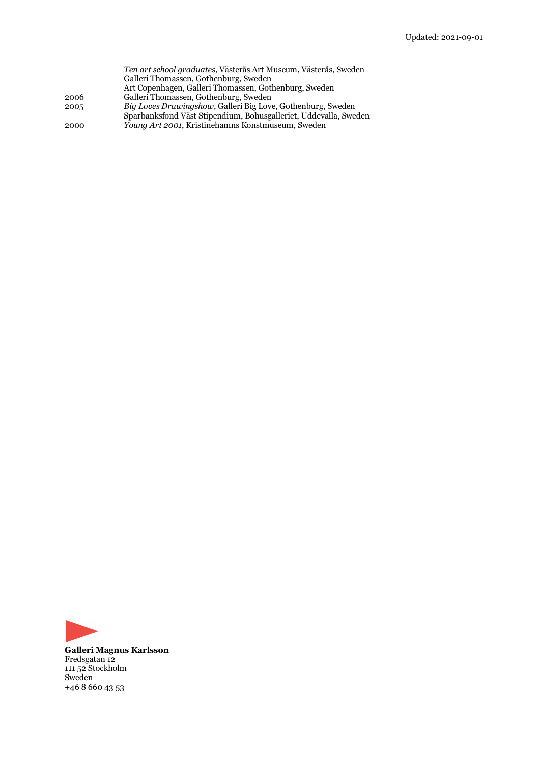| Ten art school graduates, Västerås Art Museum, Västerås, Sweden  |
|------------------------------------------------------------------|
|                                                                  |
|                                                                  |
|                                                                  |
| Sparbanksfond Väst Stipendium, Bohusgalleriet, Uddevalla, Sweden |
|                                                                  |
|                                                                  |



**Galleri Magnus Karlsson** Fredsgatan 12 111 52 Stockholm Sweden +46 8 660 43 53